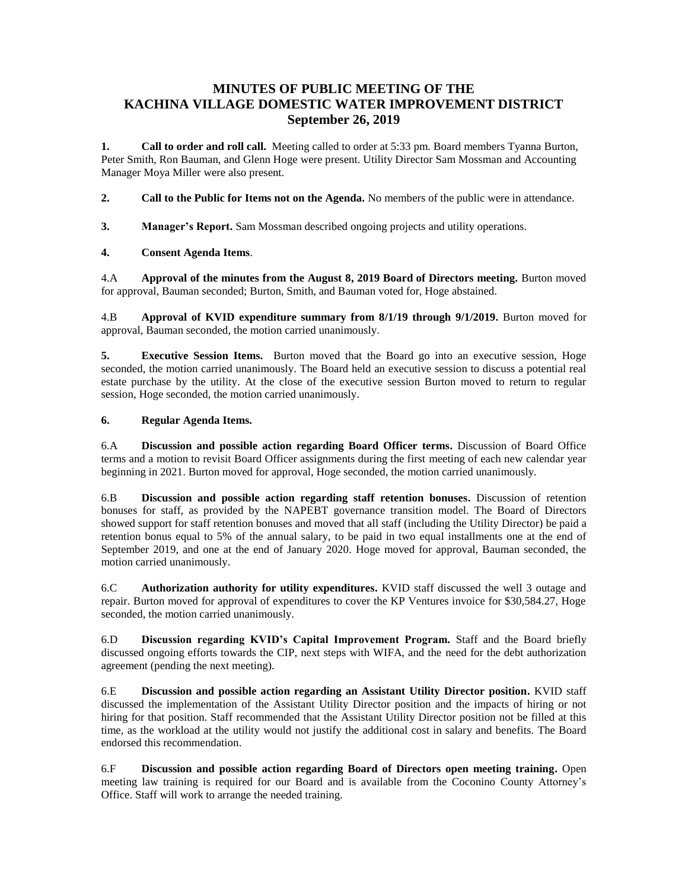## **MINUTES OF PUBLIC MEETING OF THE KACHINA VILLAGE DOMESTIC WATER IMPROVEMENT DISTRICT September 26, 2019**

**1. Call to order and roll call.** Meeting called to order at 5:33 pm. Board members Tyanna Burton, Peter Smith, Ron Bauman, and Glenn Hoge were present. Utility Director Sam Mossman and Accounting Manager Moya Miller were also present.

**2. Call to the Public for Items not on the Agenda.** No members of the public were in attendance.

**3. Manager's Report.** Sam Mossman described ongoing projects and utility operations.

## **4. Consent Agenda Items**.

4.A **Approval of the minutes from the August 8, 2019 Board of Directors meeting.** Burton moved for approval, Bauman seconded; Burton, Smith, and Bauman voted for, Hoge abstained.

4.B **Approval of KVID expenditure summary from 8/1/19 through 9/1/2019.** Burton moved for approval, Bauman seconded, the motion carried unanimously.

**5. Executive Session Items.** Burton moved that the Board go into an executive session, Hoge seconded, the motion carried unanimously. The Board held an executive session to discuss a potential real estate purchase by the utility. At the close of the executive session Burton moved to return to regular session, Hoge seconded, the motion carried unanimously.

## **6. Regular Agenda Items.**

6.A **Discussion and possible action regarding Board Officer terms.** Discussion of Board Office terms and a motion to revisit Board Officer assignments during the first meeting of each new calendar year beginning in 2021. Burton moved for approval, Hoge seconded, the motion carried unanimously.

6.B **Discussion and possible action regarding staff retention bonuses.** Discussion of retention bonuses for staff, as provided by the NAPEBT governance transition model. The Board of Directors showed support for staff retention bonuses and moved that all staff (including the Utility Director) be paid a retention bonus equal to 5% of the annual salary, to be paid in two equal installments one at the end of September 2019, and one at the end of January 2020. Hoge moved for approval, Bauman seconded, the motion carried unanimously.

6.C **Authorization authority for utility expenditures.** KVID staff discussed the well 3 outage and repair. Burton moved for approval of expenditures to cover the KP Ventures invoice for \$30,584.27, Hoge seconded, the motion carried unanimously.

6.D **Discussion regarding KVID's Capital Improvement Program.** Staff and the Board briefly discussed ongoing efforts towards the CIP, next steps with WIFA, and the need for the debt authorization agreement (pending the next meeting).

6.E **Discussion and possible action regarding an Assistant Utility Director position.** KVID staff discussed the implementation of the Assistant Utility Director position and the impacts of hiring or not hiring for that position. Staff recommended that the Assistant Utility Director position not be filled at this time, as the workload at the utility would not justify the additional cost in salary and benefits. The Board endorsed this recommendation.

6.F **Discussion and possible action regarding Board of Directors open meeting training.** Open meeting law training is required for our Board and is available from the Coconino County Attorney's Office. Staff will work to arrange the needed training.